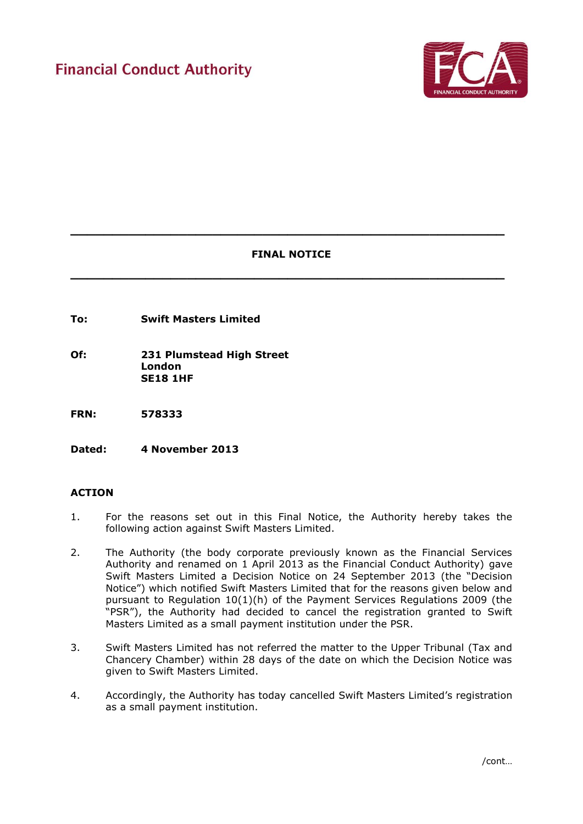

# **FINAL NOTICE**

**\_\_\_\_\_\_\_\_\_\_\_\_\_\_\_\_\_\_\_\_\_\_\_\_\_\_\_\_\_\_\_\_\_\_\_\_\_\_\_\_\_\_\_\_\_\_\_\_\_\_\_\_**

**\_\_\_\_\_\_\_\_\_\_\_\_\_\_\_\_\_\_\_\_\_\_\_\_\_\_\_\_\_\_\_\_\_\_\_\_\_\_\_\_\_\_\_\_\_\_\_\_\_\_\_\_**

**To: Swift Masters Limited**

**Of: 231 Plumstead High Street London SE18 1HF**

**FRN: 578333** 

**Dated: 4 November 2013**

## **ACTION**

- 1. For the reasons set out in this Final Notice, the Authority hereby takes the following action against Swift Masters Limited.
- 2. The Authority (the body corporate previously known as the Financial Services Authority and renamed on 1 April 2013 as the Financial Conduct Authority) gave Swift Masters Limited a Decision Notice on 24 September 2013 (the "Decision Notice") which notified Swift Masters Limited that for the reasons given below and pursuant to Regulation 10(1)(h) of the Payment Services Regulations 2009 (the "PSR"), the Authority had decided to cancel the registration granted to Swift Masters Limited as a small payment institution under the PSR.
- 3. Swift Masters Limited has not referred the matter to the Upper Tribunal (Tax and Chancery Chamber) within 28 days of the date on which the Decision Notice was given to Swift Masters Limited.
- 4. Accordingly, the Authority has today cancelled Swift Masters Limited's registration as a small payment institution.